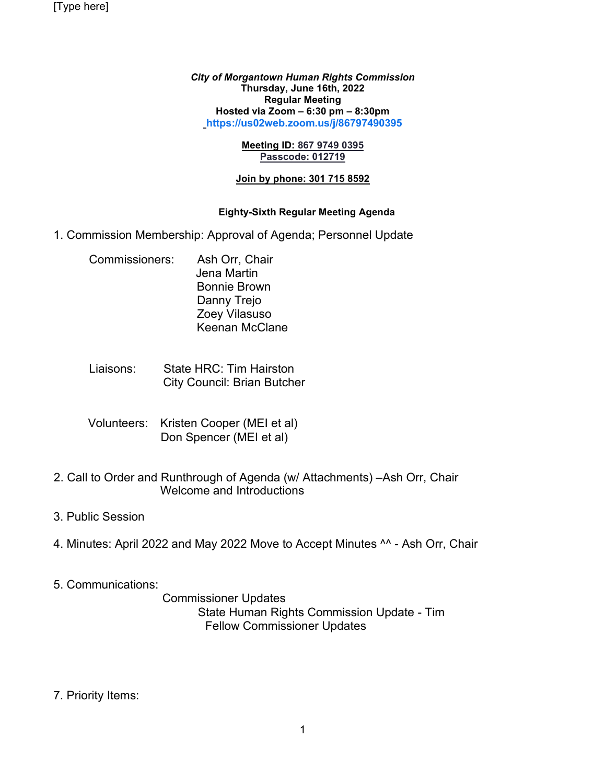[Type here]

*City of Morgantown Human Rights Commission* **Thursday, June 16th, 2022 Regular Meeting Hosted via Zoom – 6:30 pm – 8:30pm [https://us02web.zoom.us/j/86797490395](https://us02web.zoom.us/j/86797490395?pwd=dUJOdzJDSzcwRG51OTBqSGJML3BJZz09)**

#### **Meeting ID: 867 9749 0395 Passcode: 012719**

#### **Join by phone: 301 715 8592**

### **Eighty-Sixth Regular Meeting Agenda**

- 1. Commission Membership: Approval of Agenda; Personnel Update
	- Commissioners: Ash Orr, Chair Jena Martin Bonnie Brown Danny Trejo Zoey Vilasuso Keenan McClane
	- Liaisons: State HRC: Tim Hairston City Council: Brian Butcher
	- Volunteers: Kristen Cooper (MEI et al) Don Spencer (MEI et al)
- 2. Call to Order and Runthrough of Agenda (w/ Attachments) –Ash Orr, Chair Welcome and Introductions
- 3. Public Session
- 4. Minutes: April 2022 and May 2022 Move to Accept Minutes ^^ Ash Orr, Chair
- 5. Communications:

 Commissioner Updates State Human Rights Commission Update - Tim Fellow Commissioner Updates

7. Priority Items: